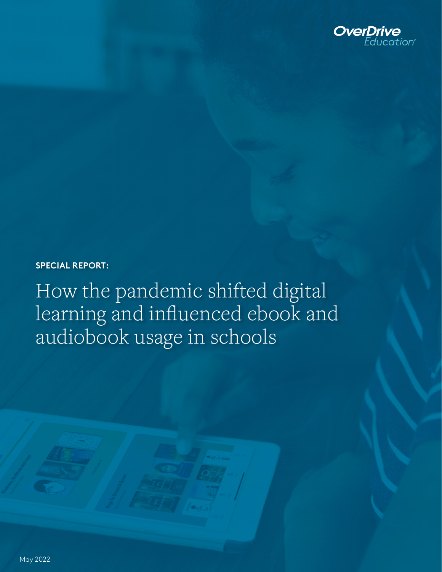

**SPECIAL REPORT:**

How the pandemic shifted digital learning and influenced ebook and audiobook usage in schools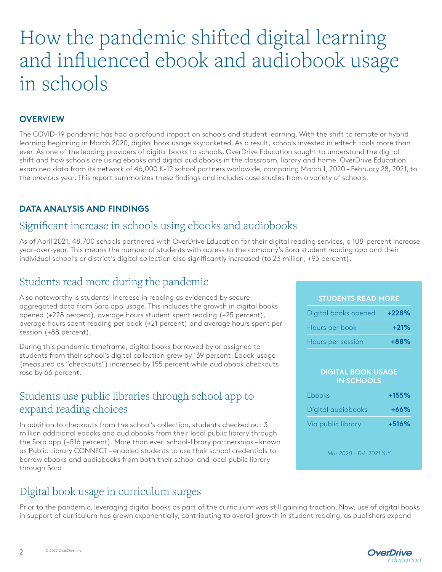# How the pandemic shifted digital learning and influenced ebook and audiobook usage in schools

### **OVERVIEW**

The COVID-19 pandemic has had a profound impact on schools and student learning. With the shift to remote or hybrid learning beginning in March 2020, digital book usage skyrocketed. As a result, schools invested in edtech tools more than ever. As one of the leading providers of digital books to schools, OverDrive Education sought to understand the digital shift and how schools are using ebooks and digital audiobooks in the classroom, library and home. OverDrive Education examined data from its network of 46,000 K-12 school partners worldwide, comparing March 1, 2020 – February 28, 2021, to the previous year. This report summarizes these findings and includes case studies from a variety of schools.

### **DATA ANALYSIS AND FINDINGS**

### Significant increase in schools using ebooks and audiobooks

As of April 2021, 48,700 schools partnered with OverDrive Education for their digital reading services, a 108-percent increase year-over-year. This means the number of students with access to the company's Sora student reading app and their individual school's or district's digital collection also significantly increased (to 23 million, +93 percent).

# Students read more during the pandemic

Also noteworthy is students' increase in reading as evidenced by secure aggregated data from Sora app usage. This includes the growth in digital books opened (+228 percent), average hours student spent reading (+25 percent), average hours spent reading per book (+21 percent) and average hours spent per session (+88 percent).

During this pandemic timeframe, digital books borrowed by or assigned to students from their school's digital collection grew by 139 percent. Ebook usage (measured as "checkouts") increased by 155 percent while audiobook checkouts rose by 66 percent.

### Students use public libraries through school app to expand reading choices

In addition to checkouts from the school's collection, students checked out 3 million additional ebooks and audiobooks from their local public library through the Sora app (+516 percent). More than ever, school-library partnerships – known as Public Library CONNECT – enabled students to use their school credentials to borrow ebooks and audiobooks from both their school and local public library through Sora.

# Digital book usage in curriculum surges

Prior to the pandemic, leveraging digital books as part of the curriculum was still gaining traction. Now, use of digital books in support of curriculum has grown exponentially, contributing to overall growth in student reading, as publishers expand

### **STUDENTS READ MORE**

| Digital books opened | $+228%$ |
|----------------------|---------|
| Hours per book       | $+21%$  |
| Hours per session    | $+88%$  |

#### **DIGITAL BOOK USAGE IN SCHOOLS**

| <b>Ebooks</b>      | $+155%$ |
|--------------------|---------|
| Digital audiobooks | $+66%$  |
| Via public library | $+516%$ |

*Mar 2020 - Feb 2021 YoY*

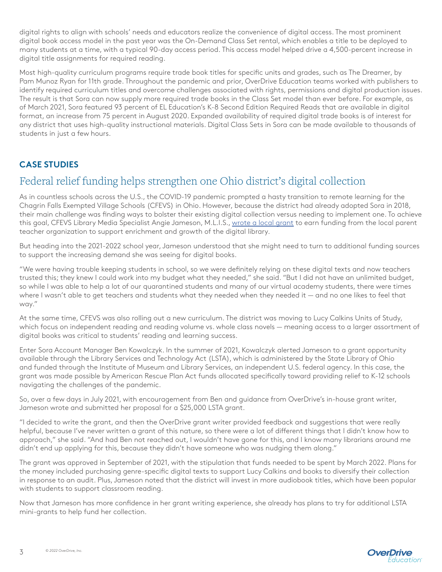digital rights to align with schools' needs and educators realize the convenience of digital access. The most prominent digital book access model in the past year was the On-Demand Class Set rental, which enables a title to be deployed to many students at a time, with a typical 90-day access period. This access model helped drive a 4,500-percent increase in digital title assignments for required reading.

Most high-quality curriculum programs require trade book titles for specific units and grades, such as The Dreamer, by Pam Munoz Ryan for 11th grade. Throughout the pandemic and prior, OverDrive Education teams worked with publishers to identify required curriculum titles and overcome challenges associated with rights, permissions and digital production issues. The result is that Sora can now supply more required trade books in the Class Set model than ever before. For example, as of March 2021, Sora featured 93 percent of EL Education's K-8 Second Edition Required Reads that are available in digital format, an increase from 75 percent in August 2020. Expanded availability of required digital trade books is of interest for any district that uses high-quality instructional materials. Digital Class Sets in Sora can be made available to thousands of students in just a few hours.

### **CASE STUDIES**

### Federal relief funding helps strengthen one Ohio district's digital collection

As in countless schools across the U.S., the COVID-19 pandemic prompted a hasty transition to remote learning for the Chagrin Falls Exempted Village Schools (CFEVS) in Ohio. However, because the district had already adopted Sora in 2018, their main challenge was finding ways to bolster their existing digital collection versus needing to implement one. To achieve this goal, CFEVS Library Media Specialist Angie Jameson, M.L.I.S., [wrote a local grant](https://ala-events.zoom.us/rec/play/9SvfnZN_14aknmo5aCyt2UTbETVvrf-tqUOPg6hDyFQRu9OT1ksK8Vn2xx-XltWOzULH02BkpzFFPj6I.XLu66TWIQ3GMmszD?startTime=1635530405000&_x_zm_rtaid=vG8RyJfkTAyf6Ujqt7tMPQ.1645212845028.99ad22b6057efcf8bc880c3f82623965&_x_zm_rhtaid=910) to earn funding from the local parent teacher organization to support enrichment and growth of the digital library.

But heading into the 2021-2022 school year, Jameson understood that she might need to turn to additional funding sources to support the increasing demand she was seeing for digital books.

"We were having trouble keeping students in school, so we were definitely relying on these digital texts and now teachers trusted this; they knew I could work into my budget what they needed," she said. "But I did not have an unlimited budget, so while I was able to help a lot of our quarantined students and many of our virtual academy students, there were times where I wasn't able to get teachers and students what they needed when they needed it — and no one likes to feel that way."

At the same time, CFEVS was also rolling out a new curriculum. The district was moving to Lucy Calkins Units of Study, which focus on independent reading and reading volume vs. whole class novels — meaning access to a larger assortment of digital books was critical to students' reading and learning success.

Enter Sora Account Manager Ben Kowalczyk. In the summer of 2021, Kowalczyk alerted Jameson to a grant opportunity available through the Library Services and Technology Act (LSTA), which is administered by the State Library of Ohio and funded through the Institute of Museum and Library Services, an independent U.S. federal agency. In this case, the grant was made possible by American Rescue Plan Act funds allocated specifically toward providing relief to K-12 schools navigating the challenges of the pandemic.

So, over a few days in July 2021, with encouragement from Ben and guidance from OverDrive's in-house grant writer, Jameson wrote and submitted her proposal for a \$25,000 LSTA grant.

"I decided to write the grant, and then the OverDrive grant writer provided feedback and suggestions that were really helpful, because I've never written a grant of this nature, so there were a lot of different things that I didn't know how to approach," she said. "And had Ben not reached out, I wouldn't have gone for this, and I know many librarians around me didn't end up applying for this, because they didn't have someone who was nudging them along."

The grant was approved in September of 2021, with the stipulation that funds needed to be spent by March 2022. Plans for the money included purchasing genre-specific digital texts to support Lucy Calkins and books to diversify their collection in response to an audit. Plus, Jameson noted that the district will invest in more audiobook titles, which have been popular with students to support classroom reading.

Now that Jameson has more confidence in her grant writing experience, she already has plans to try for additional LSTA mini-grants to help fund her collection.

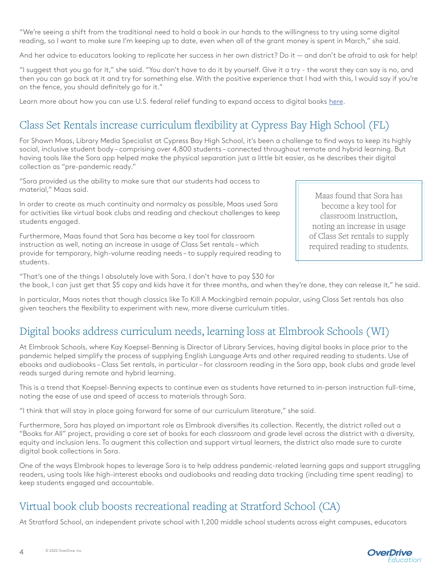"We're seeing a shift from the traditional need to hold a book in our hands to the willingness to try using some digital reading, so I want to make sure I'm keeping up to date, even when all of the grant money is spent in March," she said.

And her advice to educators looking to replicate her success in her own district? Do it — and don't be afraid to ask for help!

"I suggest that you go for it," she said. "You don't have to do it by yourself. Give it a try - the worst they can say is no, and then you can go back at it and try for something else. With the positive experience that I had with this, I would say if you're on the fence, you should definitely go for it."

Learn more about how you can use U.S. federal relief funding to expand access to digital books [here](https://company.overdrive.com/k-12-schools/discover-sora/esf/).

# Class Set Rentals increase curriculum flexibility at Cypress Bay High School (FL)

For Shawn Maas, Library Media Specialist at Cypress Bay High School, it's been a challenge to find ways to keep its highly social, inclusive student body – comprising over 4,800 students – connected throughout remote and hybrid learning. But having tools like the Sora app helped make the physical separation just a little bit easier, as he describes their digital collection as "pre-pandemic ready."

"Sora provided us the ability to make sure that our students had access to material," Maas said.

In order to create as much continuity and normalcy as possible, Maas used Sora for activities like virtual book clubs and reading and checkout challenges to keep students engaged.

Furthermore, Maas found that Sora has become a key tool for classroom instruction as well, noting an increase in usage of Class Set rentals – which provide for temporary, high-volume reading needs – to supply required reading to students.

Maas found that Sora has become a key tool for classroom instruction, noting an increase in usage of Class Set rentals to supply required reading to students.

"That's one of the things I absolutely love with Sora. I don't have to pay \$30 for the book, I can just get that \$5 copy and kids have it for three months, and when they're done, they can release it," he said.

In particular, Maas notes that though classics like To Kill A Mockingbird remain popular, using Class Set rentals has also given teachers the flexibility to experiment with new, more diverse curriculum titles.

# Digital books address curriculum needs, learning loss at Elmbrook Schools (WI)

At Elmbrook Schools, where Kay Koepsel-Benning is Director of Library Services, having digital books in place prior to the pandemic helped simplify the process of supplying English Language Arts and other required reading to students. Use of ebooks and audiobooks – Class Set rentals, in particular – for classroom reading in the Sora app, book clubs and grade level reads surged during remote and hybrid learning.

This is a trend that Koepsel-Benning expects to continue even as students have returned to in-person instruction full-time, noting the ease of use and speed of access to materials through Sora.

"I think that will stay in place going forward for some of our curriculum literature," she said.

Furthermore, Sora has played an important role as Elmbrook diversifies its collection. Recently, the district rolled out a "Books for All" project, providing a core set of books for each classroom and grade level across the district with a diversity, equity and inclusion lens. To augment this collection and support virtual learners, the district also made sure to curate digital book collections in Sora.

One of the ways Elmbrook hopes to leverage Sora is to help address pandemic-related learning gaps and support struggling readers, using tools like high-interest ebooks and audiobooks and reading data tracking (including time spent reading) to keep students engaged and accountable.

# Virtual book club boosts recreational reading at Stratford School (CA)

At Stratford School, an independent private school with 1,200 middle school students across eight campuses, educators